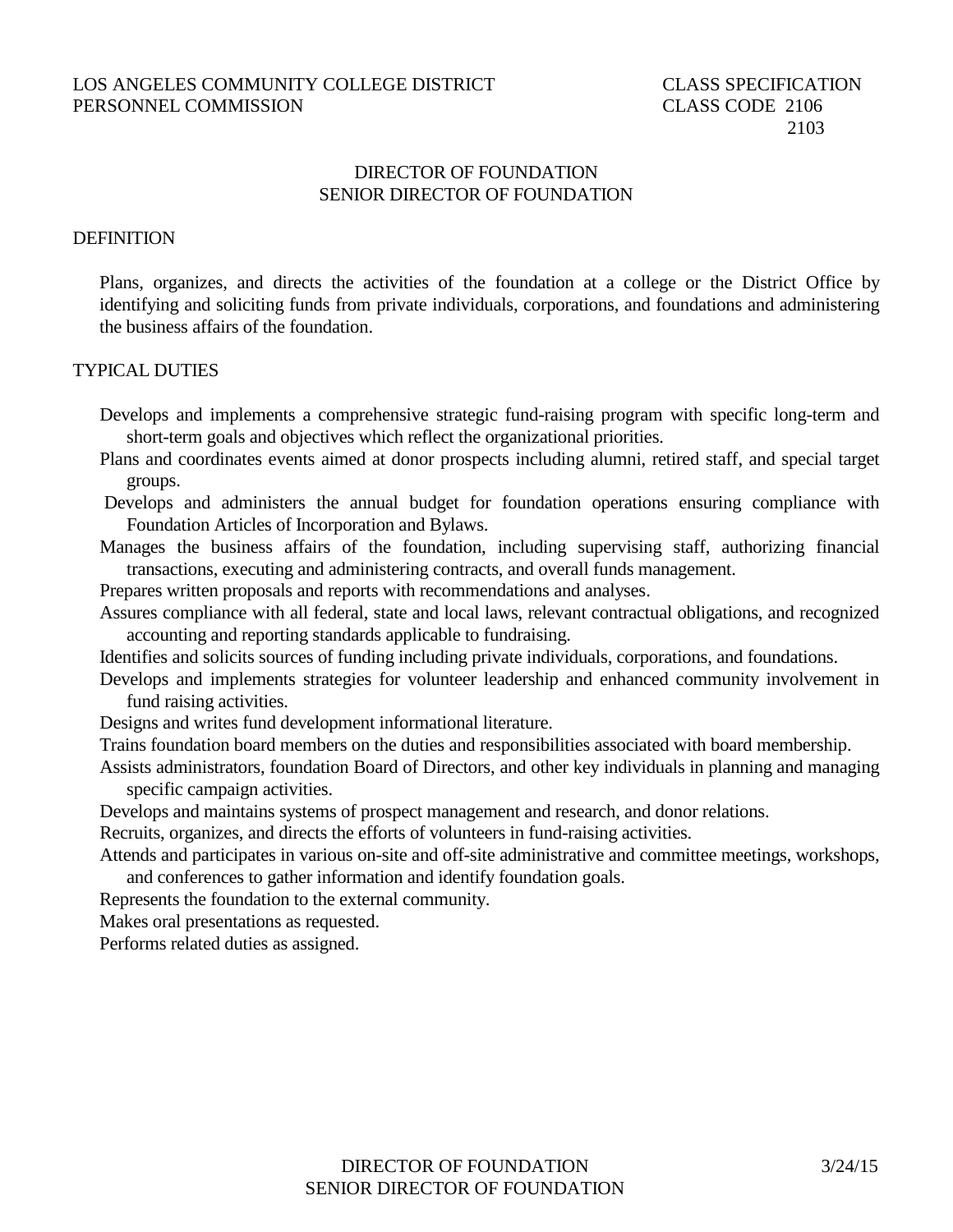# DIRECTOR OF FOUNDATION SENIOR DIRECTOR OF FOUNDATION

#### **DEFINITION**

Plans, organizes, and directs the activities of the foundation at a college or the District Office by identifying and soliciting funds from private individuals, corporations, and foundations and administering the business affairs of the foundation.

## TYPICAL DUTIES

Develops and implements a comprehensive strategic fund-raising program with specific long-term and short-term goals and objectives which reflect the organizational priorities.

- Plans and coordinates events aimed at donor prospects including alumni, retired staff, and special target groups.
- Develops and administers the annual budget for foundation operations ensuring compliance with Foundation Articles of Incorporation and Bylaws.
- Manages the business affairs of the foundation, including supervising staff, authorizing financial transactions, executing and administering contracts, and overall funds management.

Prepares written proposals and reports with recommendations and analyses.

Assures compliance with all federal, state and local laws, relevant contractual obligations, and recognized accounting and reporting standards applicable to fundraising.

Identifies and solicits sources of funding including private individuals, corporations, and foundations.

Develops and implements strategies for volunteer leadership and enhanced community involvement in fund raising activities.

Designs and writes fund development informational literature.

- Trains foundation board members on the duties and responsibilities associated with board membership.
- Assists administrators, foundation Board of Directors, and other key individuals in planning and managing specific campaign activities.

Develops and maintains systems of prospect management and research, and donor relations.

Recruits, organizes, and directs the efforts of volunteers in fund-raising activities.

Attends and participates in various on-site and off-site administrative and committee meetings, workshops, and conferences to gather information and identify foundation goals.

Represents the foundation to the external community.

Makes oral presentations as requested.

Performs related duties as assigned.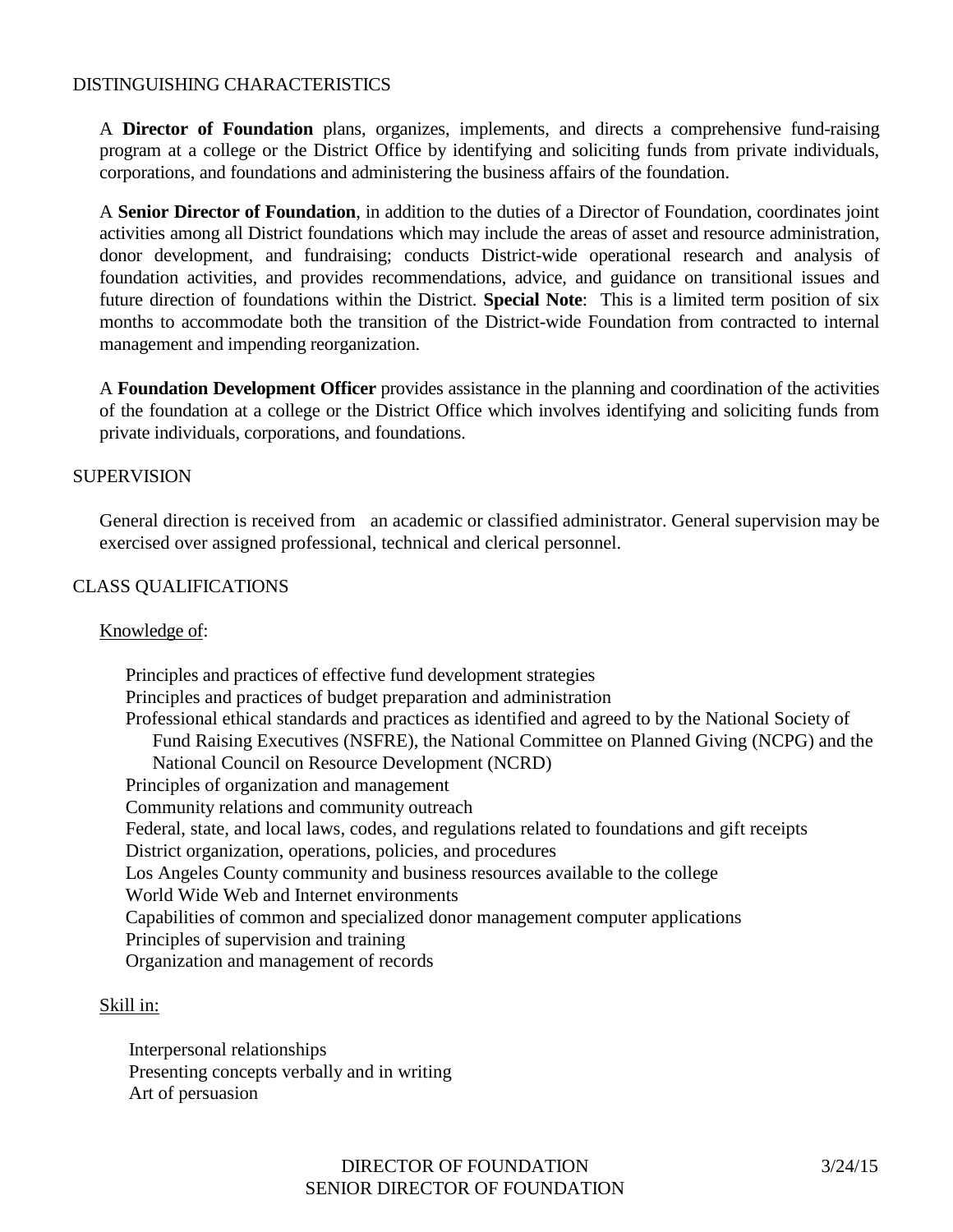# DISTINGUISHING CHARACTERISTICS

A **Director of Foundation** plans, organizes, implements, and directs a comprehensive fund-raising program at a college or the District Office by identifying and soliciting funds from private individuals, corporations, and foundations and administering the business affairs of the foundation.

A **Senior Director of Foundation**, in addition to the duties of a Director of Foundation, coordinates joint activities among all District foundations which may include the areas of asset and resource administration, donor development, and fundraising; conducts District-wide operational research and analysis of foundation activities, and provides recommendations, advice, and guidance on transitional issues and future direction of foundations within the District. **Special Note**: This is a limited term position of six months to accommodate both the transition of the District-wide Foundation from contracted to internal management and impending reorganization.

A **Foundation Development Officer** provides assistance in the planning and coordination of the activities of the foundation at a college or the District Office which involves identifying and soliciting funds from private individuals, corporations, and foundations.

## **SUPERVISION**

General direction is received from an academic or classified administrator. General supervision may be exercised over assigned professional, technical and clerical personnel.

# CLASS QUALIFICATIONS

## Knowledge of:

Principles and practices of effective fund development strategies Principles and practices of budget preparation and administration Professional ethical standards and practices as identified and agreed to by the National Society of Fund Raising Executives (NSFRE), the National Committee on Planned Giving (NCPG) and the National Council on Resource Development (NCRD) Principles of organization and management Community relations and community outreach Federal, state, and local laws, codes, and regulations related to foundations and gift receipts District organization, operations, policies, and procedures Los Angeles County community and business resources available to the college World Wide Web and Internet environments Capabilities of common and specialized donor management computer applications Principles of supervision and training Organization and management of records

## Skill in:

Interpersonal relationships Presenting concepts verbally and in writing Art of persuasion